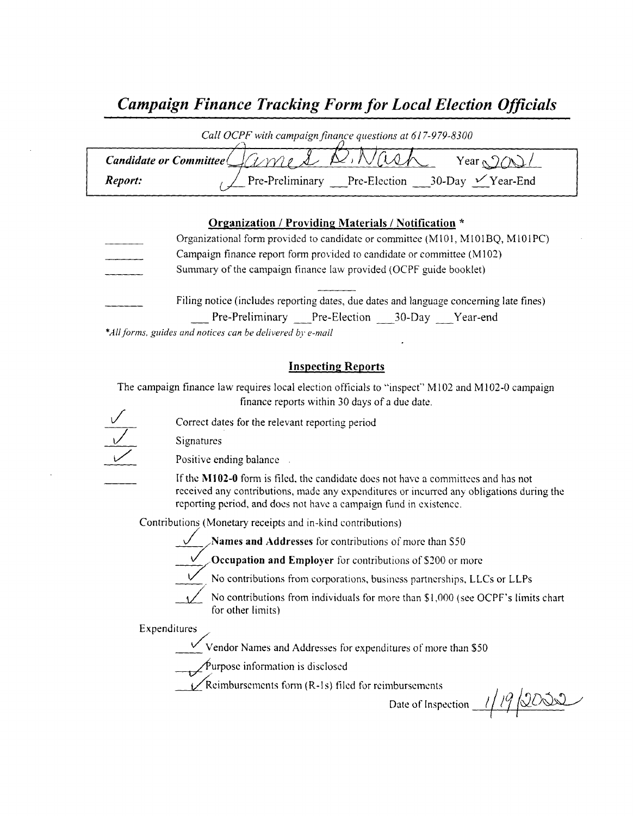# Campaign Finance Tracking Form for Local Election Officials

| Call OCPF with campaign finance questions at 617-979-8300 |                                                                                                                            |  |  |
|-----------------------------------------------------------|----------------------------------------------------------------------------------------------------------------------------|--|--|
|                                                           | Candidate or Committee $\bigcup$ (1 $\vee$ 1) $\bigwedge$ $\bigwedge$ $\wedge$ $\wedge$ $\wedge$ $\wedge$<br>Year $\alpha$ |  |  |
| Report:                                                   | Pre-Preliminary Pre-Election 30-Day $\checkmark$ Year-End                                                                  |  |  |

### Organization / Providing Materials/ Notification \*

| Organizational form provided to candidate or committee (M101, M101BQ, M101PC)          |  |  |  |
|----------------------------------------------------------------------------------------|--|--|--|
| Campaign finance report form provided to candidate or committee (M102)                 |  |  |  |
| Summary of the campaign finance law provided (OCPF guide booklet)                      |  |  |  |
| Filing notice (includes reporting dates, due dates and language concerning late fines) |  |  |  |
| Pre-Preliminary Pre-Election 30-Day Year-end                                           |  |  |  |

\*All forms, guides and notices can be delivered by e-mail

### Inspecting Reports

The campaign finance law requires local election officials to "inspect" M102 and M102-0 campaign finance reports within 30 days of <sup>a</sup> due date.

Correct dates for the relevant reporting period

Signatures

Positive ending balance

If the M102-0 form is filed, the candidate does not have a committees and has not received any contributions, made any expenditures or incurred any obligations during the reporting period, and does not have <sup>a</sup> campaign fund in existence.

Contributions (Monetary receipts and in-kind contributions)

Names and Addresses for contributions of more than S50

Occupation and Employer for contributions of \$200 or more

No contributions from corporations, business partnerships, LLCs or LLPs

No contributions from individuals for more than \$1,000 (see OCPF's limits chart for other limits)

Expenditures/

Vendor Names and Addresses for expenditures of more than \$50

 $\oint$ urpose information is disclosed

 $\sqrt{\text{Reimburs}}$  ements form (R-1s) filed for reimbursements

Date of Inspection  $1/ 19/2000$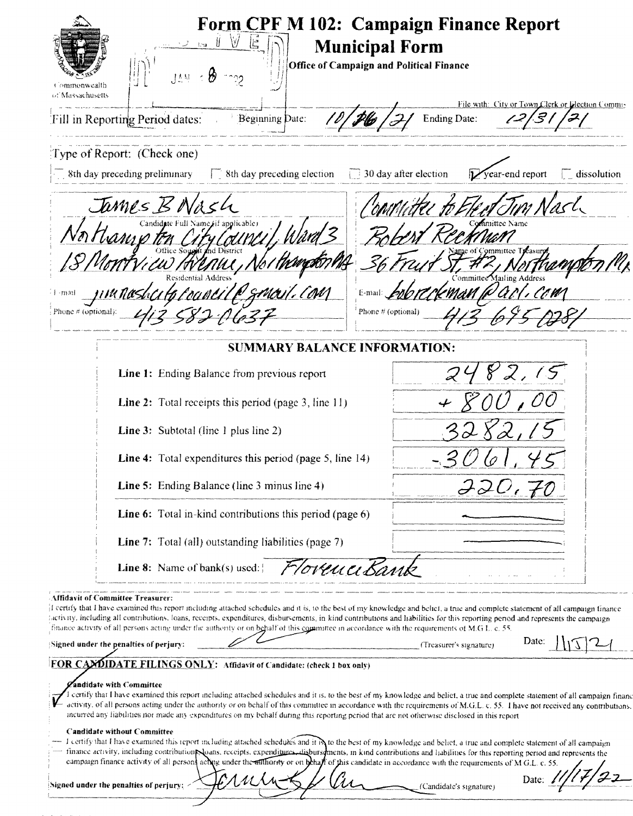| W<br>[AA]<br>Commonwealth<br>of Massachusetts                                                                                                                                                                                                                                                                                                                                                                                                                                                                                                                                                                                                                                                  | <b>Form CPF M 102: Campaign Finance Report</b><br><b>Municipal Form</b><br>Office of Campaign and Political Finance                                                                                                                                                                                                                                              |
|------------------------------------------------------------------------------------------------------------------------------------------------------------------------------------------------------------------------------------------------------------------------------------------------------------------------------------------------------------------------------------------------------------------------------------------------------------------------------------------------------------------------------------------------------------------------------------------------------------------------------------------------------------------------------------------------|------------------------------------------------------------------------------------------------------------------------------------------------------------------------------------------------------------------------------------------------------------------------------------------------------------------------------------------------------------------|
| <b>Beginning Date:</b><br>Fill in Reporting Period dates:                                                                                                                                                                                                                                                                                                                                                                                                                                                                                                                                                                                                                                      | File with: City or Town Clerk or Lilection Commis-<br><b>Ending Date:</b>                                                                                                                                                                                                                                                                                        |
| Type of Report: (Check one)<br>$\overline{\phantom{a}}$ 8th day preceding preliminary<br>$\Box$ 8th day preceding election                                                                                                                                                                                                                                                                                                                                                                                                                                                                                                                                                                     | $\Box$ 30 day after election<br>$\mathcal{V}$ year-end report<br>$\Box$ dissolution                                                                                                                                                                                                                                                                              |
| James BNASh<br>tanje r<br>wenu<br>Phone $\#$ (optional).                                                                                                                                                                                                                                                                                                                                                                                                                                                                                                                                                                                                                                       | Phone # (optional)                                                                                                                                                                                                                                                                                                                                               |
| <b>SUMMARY BALANCE INFORMATION:</b>                                                                                                                                                                                                                                                                                                                                                                                                                                                                                                                                                                                                                                                            |                                                                                                                                                                                                                                                                                                                                                                  |
| Line 1: Ending Balance from previous report                                                                                                                                                                                                                                                                                                                                                                                                                                                                                                                                                                                                                                                    |                                                                                                                                                                                                                                                                                                                                                                  |
| <b>Line 2:</b> Total receipts this period (page 3, line 11)                                                                                                                                                                                                                                                                                                                                                                                                                                                                                                                                                                                                                                    |                                                                                                                                                                                                                                                                                                                                                                  |
| <b>Line 3:</b> Subtotal (line 1 plus line 2)                                                                                                                                                                                                                                                                                                                                                                                                                                                                                                                                                                                                                                                   |                                                                                                                                                                                                                                                                                                                                                                  |
| <b>Line 4:</b> Total expenditures this period (page 5, line 14)                                                                                                                                                                                                                                                                                                                                                                                                                                                                                                                                                                                                                                |                                                                                                                                                                                                                                                                                                                                                                  |
| Line 5: Ending Balance (line 3 minus line 4)                                                                                                                                                                                                                                                                                                                                                                                                                                                                                                                                                                                                                                                   | $JJU_t$                                                                                                                                                                                                                                                                                                                                                          |
| <b>Line 6:</b> Total in-kind contributions this period (page 6)                                                                                                                                                                                                                                                                                                                                                                                                                                                                                                                                                                                                                                |                                                                                                                                                                                                                                                                                                                                                                  |
| <b>Line 7:</b> Total (all) outstanding liabilities (page 7)                                                                                                                                                                                                                                                                                                                                                                                                                                                                                                                                                                                                                                    |                                                                                                                                                                                                                                                                                                                                                                  |
| <b>Line 8:</b> Name of bank(s) used:                                                                                                                                                                                                                                                                                                                                                                                                                                                                                                                                                                                                                                                           | Torenci Barn                                                                                                                                                                                                                                                                                                                                                     |
| <b>Affidavit of Committee Treasurer:</b><br>If certify that I have examined this report including attached schedules and it is, to the best of my knowledge and belief, a true and complete statement of all campaign finance<br>lactivity, including all contributions, loans, recepts, expenditures, disbursements, in kind contributions and habilities for this reporting period and represents the campaign<br>finance activity of all persons acting under the authority or on behalf of this committee in accordance with the requirements of M.G.L. c. 55.<br>Signed under the penalties of perjury:                                                                                   | Date:<br>(Treasurer's signature)                                                                                                                                                                                                                                                                                                                                 |
| <b>FOR CAMDIDATE FILINGS ONLY:</b> Affidavit of Candidate: (check 1 box only)<br>andidate with Committee                                                                                                                                                                                                                                                                                                                                                                                                                                                                                                                                                                                       |                                                                                                                                                                                                                                                                                                                                                                  |
| incurred any fiabilities nor made any expenditures on my behalf during this reporting period that are not otherwise disclosed in this report<br>Candidate without Committee<br>I certify that I have examined this report including attached schedules and it is to the best of my knowledge and belief, a true and complete statement of all campaign<br>finance activity, including contribution poans, receipts, expenditures, disbursoments, in kind contributions and liabilities for this reporting period and represents the<br>campaign finance activity of all persons acting under the authority or on behalf of this candidate in accordance with the requirements of M G.L. c. 55. | certify that I have examined this report including attached schedules and it is, to the best of my knowledge and belief, a true and complete statement of all campaign finance<br>activity, of all persons acting under the authority or on behalf of this committee in accordance with the requirements of M.G.L. c. 55. I have not received any contributions, |
| Signed under the penalties of perjury:                                                                                                                                                                                                                                                                                                                                                                                                                                                                                                                                                                                                                                                         | Date:<br>(Candidate's signature)                                                                                                                                                                                                                                                                                                                                 |

سد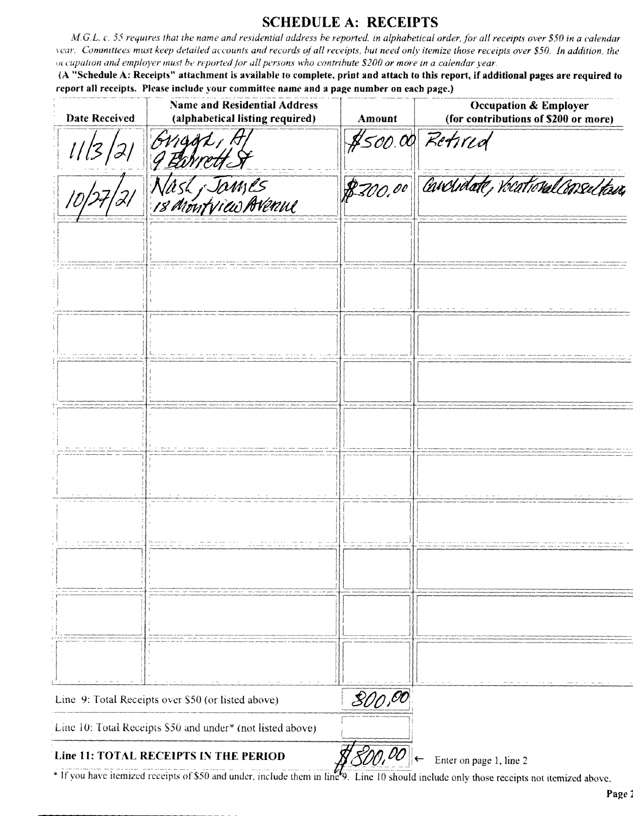### **SCHEDULE A: RECEIPTS**

M.G.L. c. 55 requires that the name and residential address be reported, in alphabetical order, for all receipts over \$50 in a calendar vear. Committees must keep detailed accounts and records of all receipts, but need only itemize those receipts over \$50. In addition, the occupation and employer must be reported for all persons who contribute \$200 or more in a calendar year.

(A "Schedule A: Receipts" attachment is available to complete, print and attach to this report, if additional pages are required to report all receipts. Please include your committee name and a page number on each page.)

| <b>Date Received</b> | <b>Name and Residential Address</b><br>(alphabetical listing required)                                           | <b>Amount</b> | <b>Occupation &amp; Employer</b><br>(for contributions of \$200 or more)                                    |
|----------------------|------------------------------------------------------------------------------------------------------------------|---------------|-------------------------------------------------------------------------------------------------------------|
|                      | Griggt.                                                                                                          |               | \$500.00 Retired                                                                                            |
|                      | Nast Jawses<br>18 Montview Avenue                                                                                | 8700.00       | Carcidate, Vocational Consections                                                                           |
|                      |                                                                                                                  |               |                                                                                                             |
|                      |                                                                                                                  |               | $\mathcal{L}_{\mathcal{A}}$ . The contract of the second contract of the contract of the second contract of |
|                      |                                                                                                                  |               |                                                                                                             |
|                      |                                                                                                                  |               |                                                                                                             |
|                      |                                                                                                                  |               |                                                                                                             |
|                      |                                                                                                                  |               |                                                                                                             |
|                      |                                                                                                                  |               |                                                                                                             |
|                      |                                                                                                                  |               |                                                                                                             |
|                      |                                                                                                                  |               |                                                                                                             |
|                      |                                                                                                                  |               |                                                                                                             |
|                      | Line 9: Total Receipts over \$50 (or listed above)                                                               | 800,00        |                                                                                                             |
|                      | Line 10: Total Receipts \$50 and under* (not listed above)                                                       |               |                                                                                                             |
|                      | Line 11: TOTAL RECEIPTS IN THE PERIOD<br>* If you have itemized receipts of \$50 and under, include them in line | 800,00        | Enter on page 1, line 2<br>d include only those receints not itemized above                                 |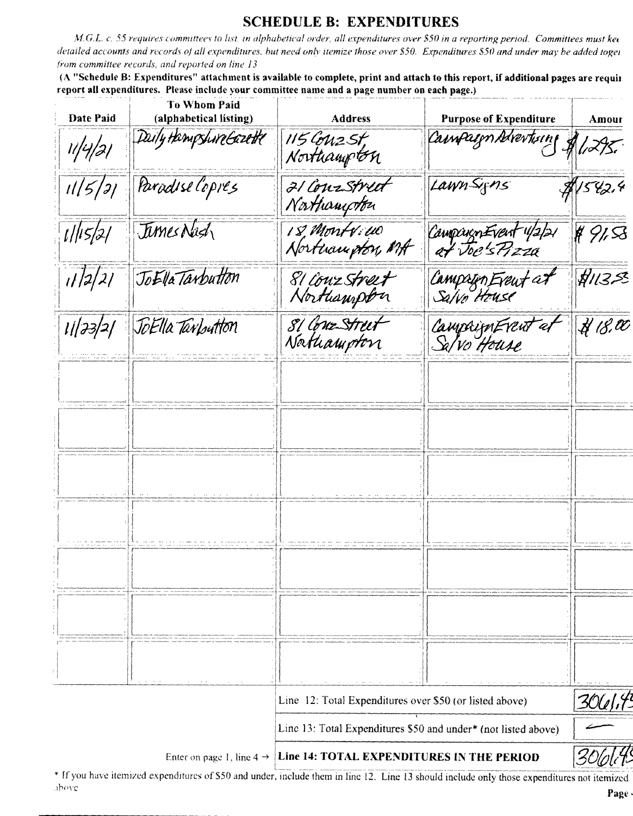# **SCHEDULE B: EXPENDITURES**

M.G.L. c. 55 requires committees to list, in alphabetical order, all expenditures over \$50 in a reporting period. Committees must kee detailed accounts and records of all expenditures, but need only itemize those over \$50. Expenditures \$50 and under may be added toget from committee records, and reported on line 13

(A "Schedule B: Expenditures" attachment is available to complete, print and attach to this report, if additional pages are requir report all expenditures. Please include your committee name and a page number on each page.)

| <b>Date Paid</b> | <b>To Whom Paid</b><br>(alphabetical listing) | <b>Address</b>                                                 | <b>Purpose of Expenditure</b>           | Amour                          |
|------------------|-----------------------------------------------|----------------------------------------------------------------|-----------------------------------------|--------------------------------|
| 11/4/21          | Daily Hampshire Gazette                       | 115 Couz St,<br>Northampton                                    | Cainpaign Advertising                   | 1/27.                          |
| 11/5/31          | Paradise Copies                               | 21 Conzstreet<br>Northampton                                   | LawnSigns                               | \$1542.4                       |
| 1/15/2/          | Tames Nash                                    | 18, Montrew<br>Northampton, MA                                 | Campaign Event 1/2/21<br>at Joe's Pizza | 4913                           |
| 1/2/2/           | JoElla Tarbutton                              | 81 lønz street<br>Northampton                                  | Campign Eveut at                        | 71353                          |
|                  | 11/23/2/ JoElla Tarbutton                     | 81 Conz Street<br>Nathampton                                   | CampaignEvent et<br>Sa/vo House         | $\overline{\mathcal{H}}$ 18,00 |
|                  |                                               |                                                                |                                         |                                |
|                  |                                               |                                                                |                                         |                                |
|                  |                                               |                                                                |                                         |                                |
|                  |                                               |                                                                |                                         |                                |
|                  |                                               |                                                                |                                         |                                |
|                  |                                               |                                                                |                                         |                                |
|                  |                                               |                                                                |                                         |                                |
|                  |                                               |                                                                |                                         |                                |
|                  |                                               | Line 12: Total Expenditures over \$50 (or listed above)        |                                         | <u>304/14</u>                  |
|                  |                                               | Line 13: Total Expenditures \$50 and under* (not listed above) |                                         |                                |
|                  | Enter on page 1, line $4 \rightarrow$         | Line 14: TOTAL EXPENDITURES IN THE PERIOD                      |                                         |                                |

\* If you have itemized expenditures of \$50 and under, include them in line 12. Line 13 should include only those expenditures not itemized above Page .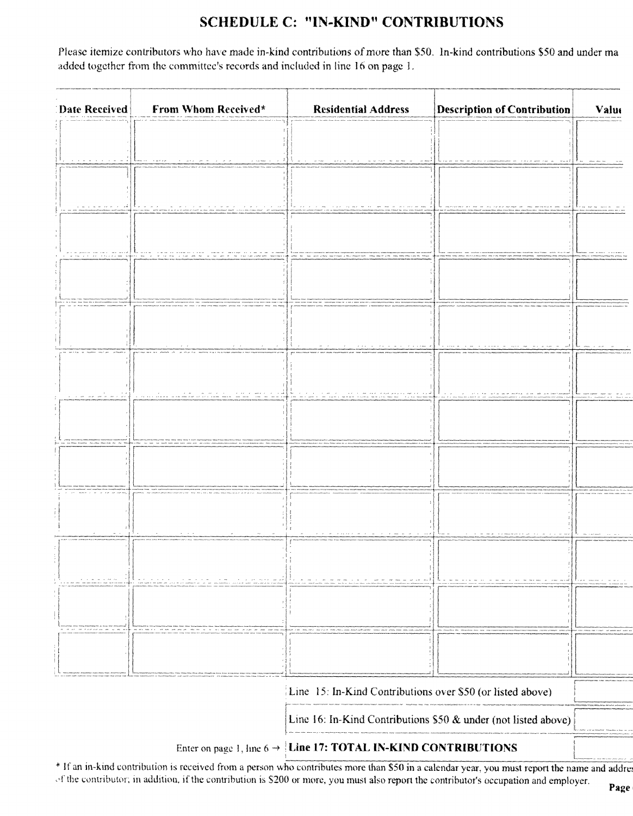# SCHEDULE C: "IN-KIND" CONTRIBUTIONS

Please itemize contributors who have made in-kind contributions of more than \$50. In-kind contributions \$50 and under ma added together from the committee's records and included in line 16 on page 1.

| Date Received                                                              | <b>From Whom Received*</b>                                    | <b>Residential Address</b> | <b>Description of Contribution</b> | Valut |
|----------------------------------------------------------------------------|---------------------------------------------------------------|----------------------------|------------------------------------|-------|
|                                                                            |                                                               |                            |                                    |       |
|                                                                            | <b>Service</b><br>construction of the<br>and such as the con- |                            |                                    |       |
|                                                                            |                                                               |                            |                                    |       |
|                                                                            |                                                               |                            |                                    |       |
|                                                                            |                                                               |                            |                                    |       |
|                                                                            |                                                               |                            |                                    |       |
|                                                                            |                                                               |                            |                                    |       |
|                                                                            | المحامل المستكل والمحاملة                                     |                            |                                    |       |
| موادي مسارمت مسرا الموسرا المتواريدان ال                                   |                                                               |                            |                                    |       |
|                                                                            |                                                               |                            |                                    |       |
|                                                                            |                                                               |                            |                                    |       |
|                                                                            |                                                               |                            |                                    |       |
|                                                                            |                                                               |                            |                                    |       |
|                                                                            |                                                               |                            |                                    |       |
|                                                                            |                                                               |                            |                                    |       |
|                                                                            |                                                               |                            |                                    |       |
|                                                                            | Line 15: In-Kind Contributions over \$50 (or listed above)    |                            |                                    |       |
| Line 16: In-Kind Contributions \$50 & under (not listed above)             |                                                               |                            |                                    |       |
| Enter on page 1, line $6 \rightarrow$ Line 17: TOTAL IN-KIND CONTRIBUTIONS |                                                               |                            |                                    |       |

<sup>\*</sup> If an in-kind contribution is received from a person who contributes more than \$50 in a calendar year, you must report the name and addrest of the contributor; in addition, if the contribution is \$200 or more, you must also report the contributor's occupation and employer.